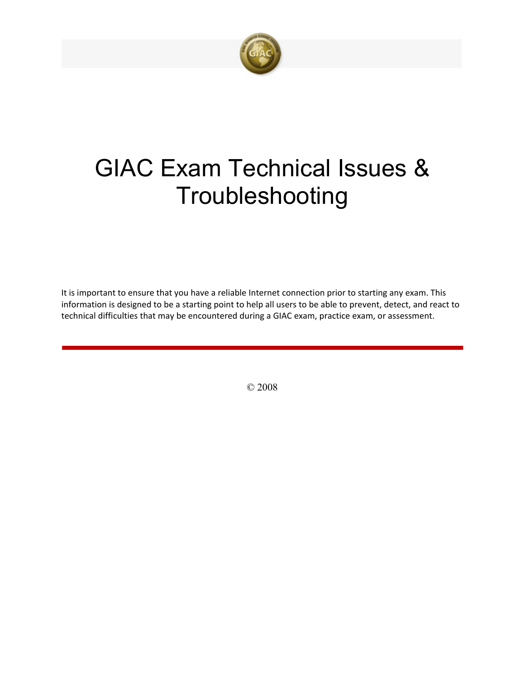

# GIAC Exam Technical Issues & Troubleshooting

It is important to ensure that you have a reliable Internet connection prior to starting any exam. This information is designed to be a starting point to help all users to be able to prevent, detect, and react to technical difficulties that may be encountered during a GIAC exam, practice exam, or assessment.

© 2008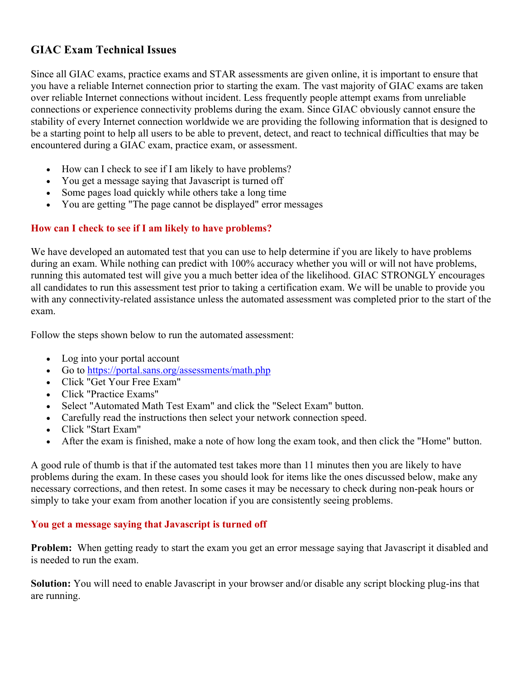# **GIAC Exam Technical Issues**

Since all GIAC exams, practice exams and STAR assessments are given online, it is important to ensure that you have a reliable Internet connection prior to starting the exam. The vast majority of GIAC exams are taken over reliable Internet connections without incident. Less frequently people attempt exams from unreliable connections or experience connectivity problems during the exam. Since GIAC obviously cannot ensure the stability of every Internet connection worldwide we are providing the following information that is designed to be a starting point to help all users to be able to prevent, detect, and react to technical difficulties that may be encountered during a GIAC exam, practice exam, or assessment.

- How can I check to see if I am likely to have problems?
- You get a message saying that Javascript is turned off
- Some pages load quickly while others take a long time
- You are getting "The page cannot be displayed" error messages

# **How can I check to see if I am likely to have problems?**

We have developed an automated test that you can use to help determine if you are likely to have problems during an exam. While nothing can predict with 100% accuracy whether you will or will not have problems, running this automated test will give you a much better idea of the likelihood. GIAC STRONGLY encourages all candidates to run this assessment test prior to taking a certification exam. We will be unable to provide you with any connectivity-related assistance unless the automated assessment was completed prior to the start of the exam.

Follow the steps shown below to run the automated assessment:

- Log into your portal account
- Go to <https://portal.sans.org/assessments/math.php>
- Click "Get Your Free Exam"
- Click "Practice Exams"
- Select "Automated Math Test Exam" and click the "Select Exam" button.
- Carefully read the instructions then select your network connection speed.
- Click "Start Exam"
- After the exam is finished, make a note of how long the exam took, and then click the "Home" button.

A good rule of thumb is that if the automated test takes more than 11 minutes then you are likely to have problems during the exam. In these cases you should look for items like the ones discussed below, make any necessary corrections, and then retest. In some cases it may be necessary to check during non-peak hours or simply to take your exam from another location if you are consistently seeing problems.

#### **You get a message saying that Javascript is turned off**

**Problem:** When getting ready to start the exam you get an error message saying that Javascript it disabled and is needed to run the exam.

**Solution:** You will need to enable Javascript in your browser and/or disable any script blocking plug-ins that are running.